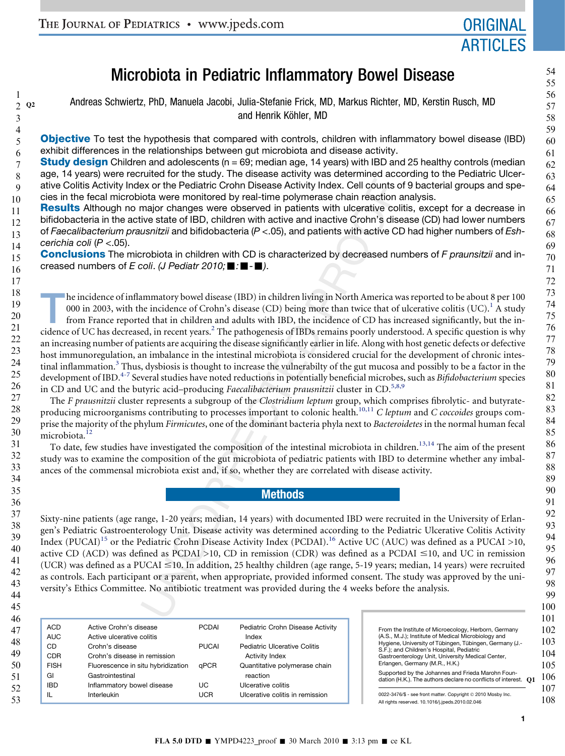# Microbiota in Pediatric Inflammatory Bowel Disease

<span id="page-0-0"></span> $\mathbf{1}$ 

Q2 Andreas Schwiertz, PhD, Manuela Jacobi, Julia-Stefanie Frick, MD, Markus Richter, MD, Kerstin Rusch, MD and Henrik Köhler, MD

Objective To test the hypothesis that compared with controls, children with inflammatory bowel disease (IBD) exhibit differences in the relationships between gut microbiota and disease activity.

**Study design** Children and adolescents ( $n = 69$ ; median age, 14 years) with IBD and 25 healthy controls (median age, 14 years) were recruited for the study. The disease activity was determined according to the Pediatric Ulcerative Colitis Activity Index or the Pediatric Crohn Disease Activity Index. Cell counts of 9 bacterial groups and species in the fecal microbiota were monitored by real-time polymerase chain reaction analysis.

Results Although no major changes were observed in patients with ulcerative colitis, except for a decrease in bifidobacteria in the active state of IBD, children with active and inactive Crohn's disease (CD) had lower numbers of *Faecalibacterium prausnitzii* and bifidobacteria (*P* <.05), and patients with active CD had higher numbers of *Eshcerichia coli* (*P* <.05).

Conclusions The microbiota in children with CD is characterized by decreased numbers of *F praunsitzii* and increased numbers of *E* coli. (*J Pediatr 2010;* ■ : ■ - ■).

Example The Pediatric Crohn Disease Activity Index. Cell counts cotation<br>and ore monitored by real-time polymerase chain reaction<br>major changes were observed in patients with uclerative coloring or changes were observed i he incidence of inflammatory bowel disease (IBD) in children living in North America was reported to be about 8 per 100 000 in 2003, with the incidence of Crohn's disease (CD) being more than twice that of ulcerative colitis (UC).<sup>[1](#page-4-0)</sup> A study from France reported that in children and adults with IBD, the incidence of CD has increased significantly, but the incidence of UC has decreased, in recent years.2 The pathogenesis of IBDs remains poorly understood. A specific question is why an increasing number of patients are acquiring the disease significantly earlier in life. Along with host genetic defects or defective host immunoregulation, an imbalance in the intestinal microbiota is considered crucial for the development of chronic intestinal inflammation.[3](#page-4-0) Thus, dysbiosis is thought to increase the vulnerabilty of the gut mucosa and possibly to be a factor in the development of IBD.<sup>[4-7](#page-4-0)</sup> Several studies have noted reductions in potentially beneficial microbes, such as *Bifidobacterium* species in CD and UC and the butyric acid–producing Faecalibacterium prausnitzii cluster in CD.<sup>[5,8,9](#page-4-0)</sup>

The F prausnitzii cluster represents a subgroup of the Clostridium leptum group, which comprises fibrolytic- and butyrate-producing microorganisms contributing to processes important to colonic health.<sup>[10,11](#page-4-0)</sup> C leptum and C coccoides groups comprise the majority of the phylum Firmicutes, one of the dominant bacteria phyla next to Bacteroidetes in the normal human fecal microbiota.<sup>[12](#page-4-0)</sup>

To date, few studies have investigated the composition of the intestinal microbiota in children.<sup>[13,14](#page-4-0)</sup> The aim of the present study was to examine the composition of the gut microbiota of pediatric patients with IBD to determine whether any imbalances of the commensal microbiota exist and, if so, whether they are correlated with disease activity.

#### **Methods**

Sixty-nine patients (age range, 1-20 years; median, 14 years) with documented IBD were recruited in the University of Erlangen's Pediatric Gastroenterology Unit. Disease activity was determined according to the Pediatric Ulcerative Colitis Activity Index (PUCAI)<sup>[15](#page-4-0)</sup> or the Pediatric Crohn Disease Activity Index (PCDAI).<sup>[16](#page-4-0)</sup> Active UC (AUC) was defined as a PUCAI >10, active CD (ACD) was defined as PCDAI >10, CD in remission (CDR) was defined as a PCDAI  $\leq$ 10, and UC in remission  $(UCR)$  was defined as a PUCAI  $\leq$ 10. In addition, 25 healthy children (age range, 5-19 years; median, 14 years) were recruited as controls. Each participant or a parent, when appropriate, provided informed consent. The study was approved by the university's Ethics Committee. No antibiotic treatment was provided during the 4 weeks before the analysis.

| <b>ACD</b>  | Active Crohn's disease             | <b>PCDAI</b> | Pediatric Crohn Disease Activity |
|-------------|------------------------------------|--------------|----------------------------------|
| <b>AUC</b>  | Active ulcerative colitis          |              | Index                            |
| <b>CD</b>   | Crohn's disease                    | <b>PUCAI</b> | Pediatric Ulcerative Colitis     |
| <b>CDR</b>  | Crohn's disease in remission       |              | <b>Activity Index</b>            |
| <b>FISH</b> | Fluorescence in situ hybridization | aPCR         | Quantitative polymerase chain    |
| GI          | Gastrointestinal                   |              | reaction                         |
| <b>IBD</b>  | Inflammatory bowel disease         | UC.          | Ulcerative colitis               |
| IL          | Interleukin                        | <b>UCR</b>   | Ulcerative colitis in remission  |

|                                                                                                                   |          | 101 |
|-------------------------------------------------------------------------------------------------------------------|----------|-----|
| From the Institute of Microecology, Herborn, Germany                                                              |          | 102 |
| (A.S., M.J.); Institute of Medical Microbiology and<br>Hygiene, University of Tübingen, Tübingen, Germany (J.-    |          | 103 |
| S.F.); and Children's Hospital, Pediatric<br>Gastroenterology Unit, University Medical Center,                    |          | 104 |
| Erlangen, Germany (M.R., H.K.)                                                                                    |          | 105 |
| Supported by the Johannes and Frieda Marohn Foun-<br>dation (H.K.). The authors declare no conflicts of interest. | $\Omega$ | 106 |
|                                                                                                                   |          | 107 |
| 0022-3476/\$ - see front matter. Copyright © 2010 Mosby Inc.<br>All rights reserved. 10.1016/j.jpeds.2010.02.046  |          | 108 |

100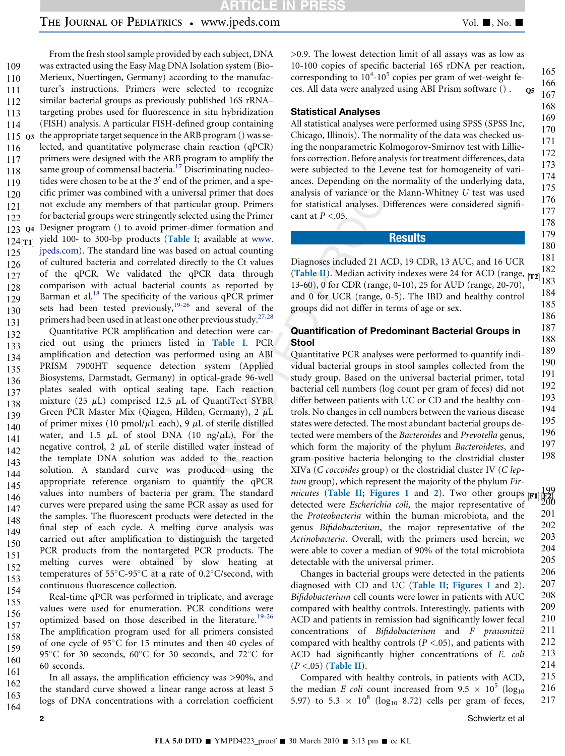## TICLE IN PRESS

# THE JOURNAL OF PEDIATRICS • www.jpeds.com Vol.

187 188

bacteria.<sup>17</sup> Discriminating nucleontropic were subjected to the Leven<br>bacteria.<sup>17</sup> Discriminating nucleontropic were subjected to the Leven<br>wheth  $\theta$  'end of the primer, and a specially selected using the proof<br>the sig From the fresh stool sample provided by each subject, DNA was extracted using the Easy Mag DNA Isolation system (Bio-Merieux, Nuertingen, Germany) according to the manufacturer's instructions. Primers were selected to recognize similar bacterial groups as previously published 16S rRNA– targeting probes used for fluorescence in situ hybridization (FISH) analysis. A particular FISH-defined group containing 115 **Q3** the appropriate target sequence in the ARB program () was selected, and quantitative polymerase chain reaction (qPCR) primers were designed with the ARB program to amplify the same group of commensal bacteria.<sup>17</sup> Discriminating nucleotides were chosen to be at the  $3'$  end of the primer, and a specific primer was combined with a universal primer that does not exclude any members of that particular group. Primers for bacterial groups were stringently selected using the Primer Designer program () to avoid primer-dimer formation and  $_{\rm l}$  yield 100- to 300-bp products ([Table I](#page-0-0); available at [www.](http://www.jpeds.com)  $124[T1]$ [jpeds.com](http://www.jpeds.com)). The standard line was based on actual counting of cultured bacteria and correlated directly to the Ct values of the qPCR. We validated the qPCR data through comparison with actual bacterial counts as reported by Barman et al. $^{18}$  The specificity of the various qPCR primer sets had been tested previously, $19-26$  and several of the primers had been used in at least one other previous study.<sup>27,28</sup> Quantitative PCR amplification and detection were carried out using the primers listed in Table I. PCR amplification and detection was performed using an ABI PRISM 7900HT sequence detection system (Applied Biosystems, Darmstadt, Germany) in optical-grade 96-well plates sealed with optical sealing tape. Each reaction mixture (25  $\mu$ L) comprised 12.5  $\mu$ L of QuantiTect SYBR Green PCR Master Mix (Qiagen, Hilden, Germany), 2 µL 109 110 111 112 113 114 116 117 118 119 120 121 122 123 Q4 125 126 127 128 129 130 131 132 133 134 135 136 137 138 139 140

of primer mixes (10 pmol/ $\mu$ L each), 9  $\mu$ L of sterile distilled water, and 1.5  $\mu$ L of stool DNA (10 ng/ $\mu$ L). For the negative control,  $2 \mu L$  of sterile distilled water instead of the template DNA solution was added to the reaction solution. A standard curve was produced using the appropriate reference organism to quantify the qPCR values into numbers of bacteria per gram. The standard curves were prepared using the same PCR assay as used for the samples. The fluorescent products were detected in the final step of each cycle. A melting curve analysis was carried out after amplification to distinguish the targeted PCR products from the nontargeted PCR products. The melting curves were obtained by slow heating at temperatures of 55 C-95 C at a rate of 0.2 C/second, with continuous fluorescence collection. 141 142 143 144 145 146 147 148 149 150 151 152 153 154

Real-time qPCR was performed in triplicate, and average values were used for enumeration. PCR conditions were optimized based on those described in the literature.<sup>19-26</sup> The amplification program used for all primers consisted of one cycle of 95 C for 15 minutes and then 40 cycles of 95 C for 30 seconds, 60 C for 30 seconds, and 72 C for 60 seconds. 155 156 157 158 159 160 161

In all assays, the amplification efficiency was >90%, and the standard curve showed a linear range across at least 5 logs of DNA concentrations with a correlation coefficient 162 163 164

>0.9. The lowest detection limit of all assays was as low as 10-100 copies of specific bacterial 16S rDNA per reaction, corresponding to  $10^4$ -10<sup>5</sup> copies per gram of wet-weight feces. All data were analyzed using ABI Prism software ().

#### Statistical Analyses

All statistical analyses were performed using SPSS (SPSS Inc, Chicago, Illinois). The normality of the data was checked using the nonparametric Kolmogorov-Smirnov test with Lilliefors correction. Before analysis for treatment differences, data were subjected to the Levene test for homogeneity of variances. Depending on the normality of the underlying data, analysis of variance or the Mann-Whitney U test was used for statistical analyses. Differences were considered significant at  $P < 0.05$ .

#### **Results**

Diagnoses included 21 ACD, 19 CDR, 13 AUC, and 16 UCR ([Table II](#page-2-0)). Median activity indexes were 24 for ACD (range,  $\begin{bmatrix} 182 \\ \text{T2} \end{bmatrix}$ 13-60), 0 for CDR (range, 0-10), 25 for AUD (range, 20-70), and 0 for UCR (range, 0-5). The IBD and healthy control groups did not differ in terms of age or sex. 181 183 184 185 186

#### Quantification of Predominant Bacterial Groups in Stool

Quantitative PCR analyses were performed to quantify individual bacterial groups in stool samples collected from the study group. Based on the universal bacterial primer, total bacterial cell numbers (log count per gram of feces) did not differ between patients with UC or CD and the healthy controls. No changes in cell numbers between the various disease states were detected. The most abundant bacterial groups detected were members of the Bacteroides and Prevotella genus, which form the majority of the phylum Bacteroidetes, and gram-positive bacteria belonging to the clostridial cluster XIVa (C coccoides group) or the clostridial cluster IV (C leptum group), which represent the majority of the phylum Fir-189 190 191 192 193 194 195 196 197 198

micutes ([Table II](#page-2-0); [Figures 1](#page-2-0) and [2](#page-3-0)). Two other groups  $\begin{bmatrix} 199 \\ \mathbf{F1} \end{bmatrix}$ detected were Escherichia coli, the major representative of the Proteobacteria within the human microbiota, and the genus Bifidobacterium, the major representative of the Actinobacteria. Overall, with the primers used herein, we were able to cover a median of 90% of the total microbiota detectable with the universal primer. 200 201 202 203 204 205

Changes in bacterial groups were detected in the patients diagnosed with CD and UC ([Table II](#page-2-0); [Figures 1](#page-2-0) and [2](#page-3-0)). Bifidobacterium cell counts were lower in patients with AUC compared with healthy controls. Interestingly, patients with ACD and patients in remission had significantly lower fecal concentrations of Bifidobacterium and F prausnitzii compared with healthy controls ( $P < .05$ ), and patients with ACD had significantly higher concentrations of E. coli  $(P < .05)$  ([Table II](#page-2-0)). 206 207 208 209 210 211 212 213 214

Compared with healthy controls, in patients with ACD, the median E coli count increased from  $9.5 \times 10^5$  (log<sub>10</sub>) 5.97) to 5.3  $\times$  10<sup>8</sup> (log<sub>10</sub> 8.72) cells per gram of feces, 215 216 217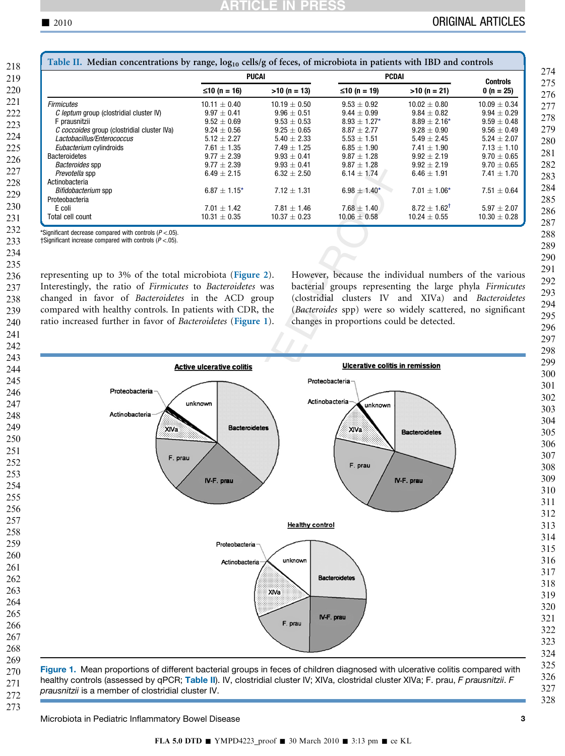|                                             | <b>PUCAI</b>      |                  | <b>PCDAI</b>      |                            | <b>Controls</b>  |
|---------------------------------------------|-------------------|------------------|-------------------|----------------------------|------------------|
|                                             | ≤10 (n = 16)      | $>10 (n = 13)$   | ≤10 (n = 19)      | $>10 (n = 21)$             | $0(n = 25)$      |
| Firmicutes                                  | $10.11 + 0.40$    | $10.19 + 0.50$   | $9.53 + 0.92$     | $10.02 + 0.80$             | $10.09 + 0.34$   |
| C leptum group (clostridial cluster IV)     | $9.97 + 0.41$     | $9.96 + 0.51$    | $9.44 + 0.99$     | $9.84 + 0.82$              | $9.94 + 0.29$    |
| F prausnitzii                               | $9.52 + 0.69$     | $9.53 + 0.53$    | $8.93 \pm 1.27*$  | $8.89 + 2.16*$             | $9.59 \pm 0.48$  |
| C coccoides group (clostridial cluster IVa) | $9.24 \pm 0.56$   | $9.25 \pm 0.65$  | $8.87 \pm 2.77$   | $9.28 \pm 0.90$            | $9.56 \pm 0.49$  |
| Lactobacillus/Enterococcus                  | $5.12 + 2.27$     | $5.40 \pm 2.33$  | $5.53 + 1.51$     | $5.49 + 2.45$              | $5.24 + 2.07$    |
| Eubacterium cylindroids                     | $7.61 + 1.35$     | $7.49 + 1.25$    | $6.85 + 1.90$     | $7.41 + 1.90$              | $7.13 + 1.10$    |
| <b>Bacteroidetes</b>                        | $9.77 + 2.39$     | $9.93 + 0.41$    | $9.87 + 1.28$     | $9.92 + 2.19$              | $9.70 \pm 0.65$  |
| Bacteroides spp                             | $9.77 + 2.39$     | $9.93 + 0.41$    | $9.87 \pm 1.28$   | $9.92 + 2.19$              | $9.70 + 0.65$    |
| Prevotella spp                              | $6.49 + 2.15$     | $6.32 + 2.50$    | $6.14 + 1.74$     | $6.46 \pm 1.91$            | $7.41 + 1.70$    |
| Actinobacteria                              |                   |                  |                   |                            |                  |
| Bifidobacterium spp                         | $6.87 \pm 1.15^*$ | $7.12 \pm 1.31$  | $6.98 \pm 1.40^*$ | $7.01 \pm 1.06*$           | $7.51 \pm 0.64$  |
| Proteobacteria                              |                   |                  |                   |                            |                  |
| E coli                                      | $7.01 + 1.42$     | $7.81 + 1.46$    | $7.68 + 1.40$     | $8.72 + 1.62$ <sup>T</sup> | $5.97 \pm 2.07$  |
| Total cell count                            | $10.31 \pm 0.35$  | $10.37 \pm 0.23$ | $10.06 \pm 0.58$  | $10.24 \pm 0.55$           | $10.30 \pm 0.28$ |

\*Significant decrease compared with controls  $(P < .05)$ .

 $\dagger$ Significant increase compared with controls ( $P < 05$ ).

representing up to 3% of the total microbiota ([Figure 2](#page-3-0)). Interestingly, the ratio of Firmicutes to Bacteroidetes was changed in favor of Bacteroidetes in the ACD group compared with healthy controls. In patients with CDR, the ratio increased further in favor of Bacteroidetes (Figure 1).

However, because the individual numbers of the various bacterial groups representing the large phyla Firmicutes (clostridial clusters IV and XIVa) and Bacteroidetes (Bacteroides spp) were so widely scattered, no significant changes in proportions could be detected.

<span id="page-2-0"></span>

Microbiota in Pediatric Inflammatory Bowel Disease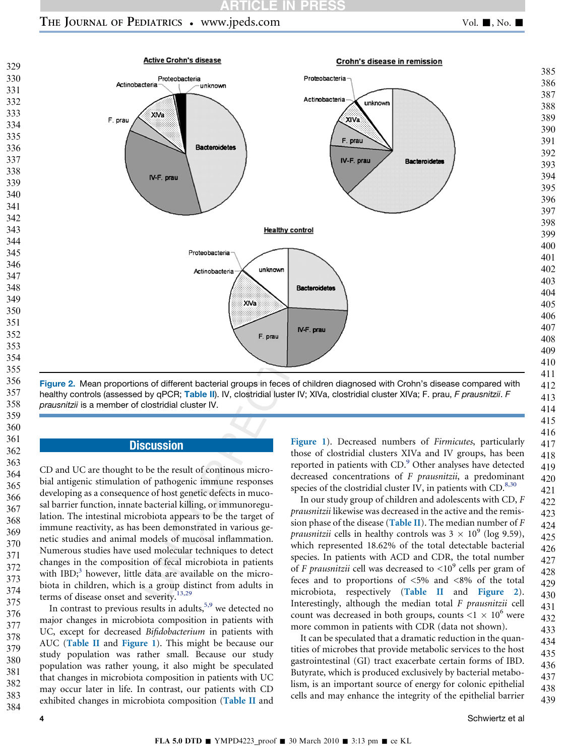## **CLE IN PR**

<span id="page-3-0"></span>

healthy controls (assessed by qPCR; Table II). IV, clostridial luster IV; XIVa, clostridial cluster XIVa; F. prau, *F prausnitzii* . *F*

#### **Discussion**

CD and UC are thought to be the result of continous microbial antigenic stimulation of pathogenic immune responses developing as a consequence of host genetic defects in mucosal barrier function, innate bacterial killing, or immunoregulation. The intestinal microbiota appears to be the target of immune reactivity, as has been demonstrated in various genetic studies and animal models of mucosal inflammation. Numerous studies have used molecular techniques to detect changes in the composition of fecal microbiota in patients with IBD; [3](#page-4-0) however, little data are available on the microbiota in children, which is a group distinct from adults in terms of disease onset and severity.<sup>13,29</sup>

In contrast to previous results in adults,  $5.9$  we detected no major changes in microbiota composition in patients with UC, except for decreased Bifidobacterium in patients with AUC ([Table II](#page-2-0) and [Figure 1](#page-2-0)). This might be because our study population was rather small. Because our study population was rather young, it also might be speculated that changes in microbiota composition in patients with UC may occur later in life. In contrast, our patients with CD exhibited changes in microbiota composition ([Table II](#page-2-0) and 

[Figure 1](#page-2-0)). Decreased numbers of Firmicutes, particularly those of clostridial clusters XIVa and IV groups, has been reported in patients with CD. [9](#page-4-0) Other analyses have detected decreased concentrations of F prausnitzii, a predominant species of the clostridial cluster IV, in patients with CD. $8,30$ 

In our study group of children and adolescents with CD, F prausnitzii likewise was decreased in the active and the remis-sion phase of the disease ([Table II](#page-2-0)). The median number of  $F$ *prausnitzii* cells in healthy controls was  $3 \times 10^9$  (log 9.59), which represented 18.62% of the total detectable bacterial species. In patients with ACD and CDR, the total number of F prausnitzii cell was decreased to  $< 10<sup>9</sup>$  cells per gram of feces and to proportions of <5% and <8% of the total microbiota, respectively ([Table II](#page-2-0) and Figure 2). Interestingly, although the median total F prausnitzii cell count was decreased in both groups, counts <1  $\times$  10<sup>6</sup> were more common in patients with CDR (data not shown). 

It can be speculated that a dramatic reduction in the quantities of microbes that provide metabolic services to the host gastrointestinal (GI) tract exacerbate certain forms of IBD. Butyrate, which is produced exclusively by bacterial metabolism, is an important source of energy for colonic epithelial cells and may enhance the integrity of the epithelial barrier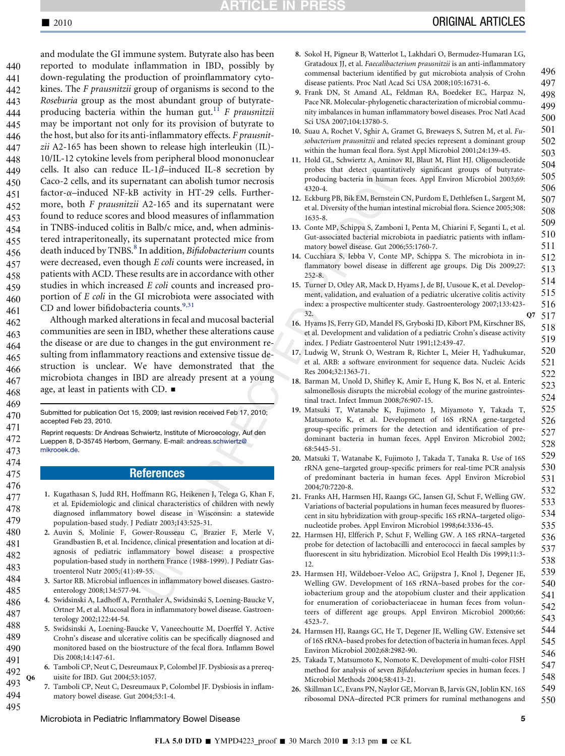# **TICLE IN PRESS**

469

474 475 476

495

<span id="page-4-0"></span>IL. Fig. matrix and the secretion by readed and detect quantitative and big in the read of the secretion by probes that detect quantitative and big and the secretion by probes that detect quantitative and big and the secr and modulate the GI immune system. Butyrate also has been reported to modulate inflammation in IBD, possibly by down-regulating the production of proinflammatory cytokines. The F prausnitzii group of organisms is second to the Roseburia group as the most abundant group of butyrateproducing bacteria within the human gut.<sup>11</sup> F prausnitzii may be important not only for its provision of butyrate to the host, but also for its anti-inflammatory effects. F prausnitzii A2-165 has been shown to release high interleukin (IL)- 10/IL-12 cytokine levels from peripheral blood mononuclear cells. It also can reduce IL-1 $\beta$ -induced IL-8 secretion by Caco-2 cells, and its supernatant can abolish tumor necrosis factor-a–induced NF-kB activity in HT-29 cells. Furthermore, both F prausnitzii A2-165 and its supernatant were found to reduce scores and blood measures of inflammation in TNBS-induced colitis in Balb/c mice, and, when administered intraperitoneally, its supernatant protected mice from death induced by TNBS.<sup>8</sup> In addition, Bifidobacterium counts were decreased, even though E coli counts were increased, in patients with ACD. These results are in accordance with other studies in which increased E coli counts and increased proportion of E coli in the GI microbiota were associated with CD and lower bifidobacteria counts. $9,31$ 440 441 442 443 444 445 446 447 448 449 450 451 452 453 454 455 456 457 458 459 460 461

Although marked alterations in fecal and mucosal bacterial communities are seen in IBD, whether these alterations cause the disease or are due to changes in the gut environment resulting from inflammatory reactions and extensive tissue destruction is unclear. We have demonstrated that the microbiota changes in IBD are already present at a young age, at least in patients with CD. n 462 463 464 465 466 467 468

Submitted for publication Oct 15, 2009; last revision received Feb 17, 2010; accepted Feb 23, 2010. 470 471

Reprint requests: Dr Andreas Schwiertz, Institute of Microecology, Auf den Lueppen 8, D-35745 Herborn, Germany. E-mail: andreas.schwiertz@ [mikrooek.de](mailto:andreas.schwiertz@mikrooek.de) . 472 473

#### **References**

- 1. Kugathasan S, Judd RH, Hoffmann RG, Heikenen J, Telega G, Khan F, et al. Epidemiologic and clinical characteristics of children with newly diagnosed inflammatory bowel disease in Wisconsin: a statewide population-based study. J Pediatr 2003;143:525-31. 477 478 479
- 2. Auvin S, Molinie F, Gower-Rousseau C, Brazier F, Merle V, Grandbastien B, et al. Incidence, clinical presentation and location at diagnosis of pediatric inflammatory bowel disease: a prospective population-based study in northern France (1988-1999). J Pediatr Gastroenterol Nutr 2005;(41):49-55. 480 481 482 483
- 3. Sartor RB. Microbial influences in inflammatory bowel diseases. Gastroenterology 2008;134:577-94. 484 485
- 4. Swidsinski A, Ladhoff A, Pernthaler A, Swidsinski S, Loening-Baucke V, Ortner M, et al. Mucosal flora in inflammatory bowel disease. Gastroenterology 2002;122:44-54. 486 487
- 5. Swidsinski A, Loening-Baucke V, Vaneechoutte M, Doerffel Y. Active Crohn's disease and ulcerative colitis can be specifically diagnosed and monitored based on the biostructure of the fecal flora. Inflamm Bowel Dis 2008;14:147-61. 488 489 490 491
- 6. Tamboli CP, Neut C, Desreumaux P, Colombel JF. Dysbiosis as a prereq-Q6 uisite for IBD. Gut 2004;53:1057. 492
- 7. Tamboli CP, Neut C, Desreumaux P, Colombel JF. Dysbiosis in inflammatory bowel disease. Gut 2004;53:1-4. 493 494
- 8. Sokol H, Pigneur B, Watterlot L, Lakhdari O, Bermudez-Humaran LG, Gratadoux JJ, et al. Faecalibacterium prausnitzii is an anti-inflammatory commensal bacterium identified by gut microbiota analysis of Crohn disease patients. Proc Natl Acad Sci USA 2008;105:16731-6.
- 9. Frank DN, St Amand AL, Feldman RA, Boedeker EC, Harpaz N, Pace NR. Molecular-phylogenetic characterization of microbial community imbalances in human inflammatory bowel diseases. Proc Natl Acad Sci USA 2007;104:13780-5.
- 10. Suau A, Rochet V, Sghir A, Gramet G, Brewaeys S, Sutren M, et al. Fusobacterium prausnitzii and related species represent a dominant group within the human fecal flora. Syst Appl Microbiol 2001;24:139-45.
- 11. Hold GL, Schwiertz A, Aminov RI, Blaut M, Flint HJ. Oligonucleotide probes that detect quantitatively significant groups of butyrateproducing bacteria in human feces. Appl Environ Microbiol 2003;69: 4320-4.
- 12. Eckburg PB, Bik EM, Bernstein CN, Purdom E, Dethlefsen L, Sargent M, et al. Diversity of the human intestinal microbial flora. Science 2005;308: 1635-8.
- 13. Conte MP, Schippa S, Zamboni I, Penta M, Chiarini F, Seganti L, et al. Gut-associated bacterial microbiota in paediatric patients with inflammatory bowel disease. Gut 2006;55:1760-7.
- 14. Cucchiara S, Iebba V, Conte MP, Schippa S. The microbiota in inflammatory bowel disease in different age groups. Dig Dis 2009;27: 252-8. 512 513 514
- 15. Turner D, Otley AR, Mack D, Hyams J, de BJ, Uusoue K, et al. Development, validation, and evaluation of a pediatric ulcerative colitis activity index: a prospective multicenter study. Gastroenterology 2007;133:423- 32.  $Q7$
- 16. Hyams JS, Ferry GD, Mandel FS, Gryboski JD, Kibort PM, Kirschner BS, et al. Development and validation of a pediatric Crohn's disease activity index. J Pediatr Gastroenterol Nutr 1991;12:439-47.
- 17. Ludwig W, Strunk O, Westram R, Richter L, Meier H, Yadhukumar, et al. ARB: a software environment for sequence data. Nucleic Acids Res 2004;32:1363-71.
- 18. Barman M, Unold D, Shifley K, Amir E, Hung K, Bos N, et al. Enteric salmonellosis disrupts the microbial ecology of the murine gastrointestinal tract. Infect Immun 2008;76:907-15.
- 19. Matsuki T, Watanabe K, Fujimoto J, Miyamoto Y, Takada T, Matsumoto K, et al. Development of 16S rRNA gene-targeted group-specific primers for the detection and identification of predominant bacteria in human feces. Appl Environ Microbiol 2002; 68:5445-51.
- 20. Matsuki T, Watanabe K, Fujimoto J, Takada T, Tanaka R. Use of 16S rRNA gene–targeted group-specific primers for real-time PCR analysis of predominant bacteria in human feces. Appl Environ Microbiol 2004;70:7220-8. 529 530 531 532
- 21. Franks AH, Harmsen HJ, Raangs GC, Jansen GJ, Schut F, Welling GW. Variations of bacterial populations in human feces measured by fluorescent in situ hybridization with group-specific 16S rRNA–targeted oligonucleotide probes. Appl Environ Microbiol 1998;64:3336-45.
- 22. Harmsen HJ, Elfferich P, Schut F, Welling GW. A 16S rRNA–targeted probe for detection of lactobacilli and enterococci in faecal samples by fluorescent in situ hybridization. Microbiol Ecol Health Dis 1999;11:3- 12.
- 23. Harmsen HJ, Wildeboer-Veloo AC, Grijpstra J, Knol J, Degener JE, Welling GW. Development of 16S rRNA–based probes for the coriobacterium group and the atopobium cluster and their application for enumeration of coriobacteriaceae in human feces from volunteers of different age groups. Appl Environ Microbiol 2000;66: 4523-7.
- 24. Harmsen HJ, Raangs GC, He T, Degener JE, Welling GW. Extensive set of 16S rRNA–based probes for detection of bacteria in human feces. Appl Environ Microbiol 2002;68:2982-90. 544 545 546
- 25. Takada T, Matsumoto K, Nomoto K. Development of multi-color FISH method for analysis of seven Bifidobacterium species in human feces. J Microbiol Methods 2004;58:413-21. 547 548
- 26. Skillman LC, Evans PN, Naylor GE, Morvan B, Jarvis GN, Joblin KN. 16S ribosomal DNA–directed PCR primers for ruminal methanogens and 549 550

#### Microbiota in Pediatric Inflammatory Bowel Disease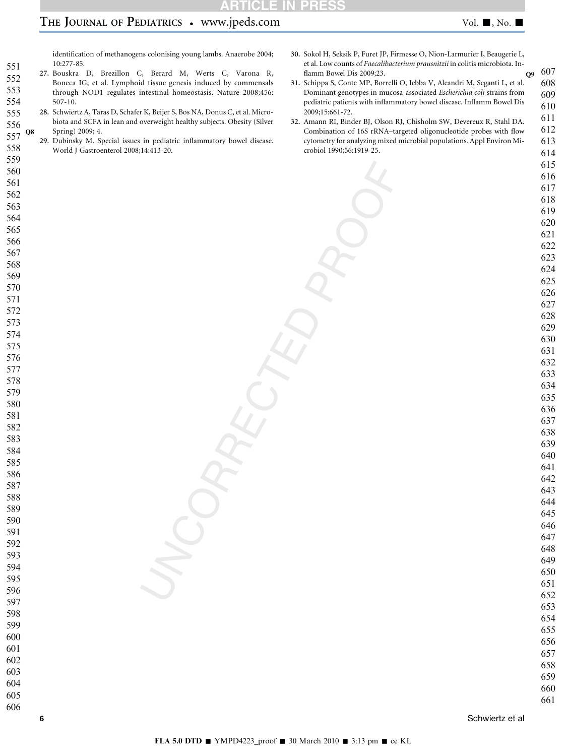# **RTICLE IN**

# <span id="page-5-0"></span>THE JOURNAL OF PEDIATRICS • www.jpeds.com Vol.

identification of methanogens colonising young lambs. Anaerobe 2004; 10:277-85.

- 27. Bouskra D, Brezillon C, Berard M, Werts C, Varona R, Boneca IG, et al. Lymphoid tissue genesis induced by commensals through NOD1 regulates intestinal homeostasis. Nature 2008;456: 507-10.
- 28. Schwiertz A, Taras D, Schafer K, Beijer S, Bos NA, Donus C, et al. Microbiota and SCFA in lean and overweight healthy subjects. Obesity (Silver Q8 Spring) 2009; 4.
- 29. Dubinsky M. Special issues in pediatric inflammatory bowel disease. World J Gastroenterol 2008;14:413-20.
- 30. Sokol H, Seksik P, Furet JP, Firmesse O, Nion-Larmurier I, Beaugerie L, et al. Low counts of Faecalibacterium prausnitzii in colitis microbiota. In-<br>flamm Bowel Dis 2009;23.  $\qquad$  O9 flamm Bowel Dis 2009;23.
- 31. Schippa S, Conte MP, Borrelli O, Iebba V, Aleandri M, Seganti L, et al. Dominant genotypes in mucosa-associated Escherichia coli strains from pediatric patients with inflammatory bowel disease. Inflamm Bowel Dis 2009;15:661-72.
- 32. Amann RI, Binder BJ, Olson RJ, Chisholm SW, Devereux R, Stahl DA. Combination of 16S rRNA–targeted oligonucleotide probes with flow cytometry for analyzing mixed microbial populations. Appl Environ Microbiol 1990;56:1919-25.

- 
- 
- 

UNCORRECTED PROOF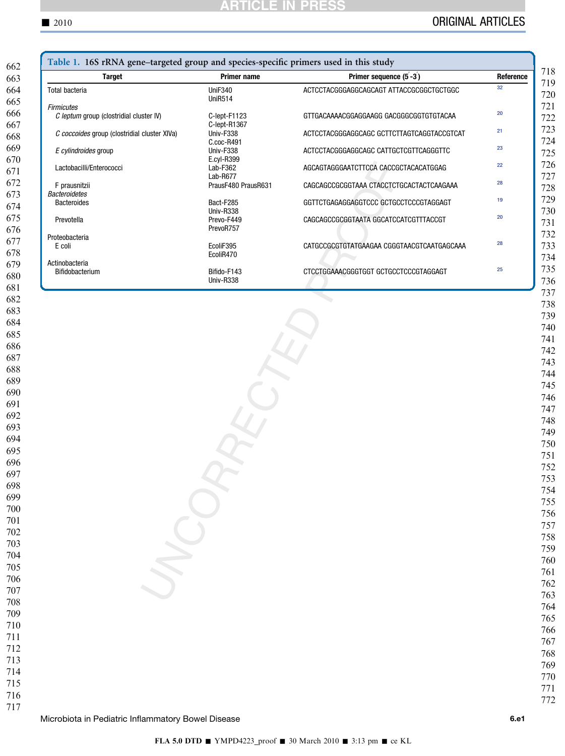# ARTICLE IN PRESS

# ■ 2010 ORIGINAL ARTICLES

| <b>Target</b><br>Total bacteria                              | Primer name                                                    | Primer sequence (5'-3')                    | Reference |
|--------------------------------------------------------------|----------------------------------------------------------------|--------------------------------------------|-----------|
|                                                              | <b>UniF340</b>                                                 | ACTCCTACGGGAGGCAGCAGT ATTACCGCGGCTGCTGGC   | 32        |
|                                                              | UniR514                                                        |                                            |           |
| <b>Firmicutes</b><br>C leptum group (clostridial cluster IV) | C-lept-F1123                                                   | GTTGACAAAACGGAGGAAGG GACGGGCGGTGTGTACAA    | 20        |
|                                                              | C-lept-R1367                                                   |                                            |           |
| C coccoides group (clostridial cluster XIVa)                 | Univ-F338<br>C.coc-R491<br>Univ-F338<br>E.cyl-R399<br>Lab-F362 | ACTCCTACGGGAGGCAGC GCTTCTTAGTCAGGTACCGTCAT | 21        |
| E cylindroides group                                         |                                                                | ACTCCTACGGGAGGCAGC CATTGCTCGTTCAGGGTTC     | 23        |
| Lactobacilli/Enterococci                                     |                                                                | AGCAGTAGGGAATCTTCCA CACCGCTACACATGGAG      | 22        |
|                                                              | Lab-R677                                                       |                                            |           |
| F prausnitzii<br><b>Bacteroidetes</b>                        | PrausF480 PrausR631                                            | CAGCAGCCGCGGTAAA CTACCTCTGCACTACTCAAGAAA   | 28        |
| <b>Bacteroides</b>                                           | Bact-F285                                                      | GGTTCTGAGAGGAGGTCCC GCTGCCTCCCGTAGGAGT     | 19        |
| Prevotella                                                   | Univ-R338<br>Prevo-F449<br>PrevoR757                           | CAGCAGCCGCGGTAATA GGCATCCATCGTTTACCGT      | 20        |
| Proteobacteria                                               |                                                                |                                            | 28        |
| E coli                                                       | EcoliF395<br>EcoliR470                                         | CATGCCGCGTGTATGAAGAA CGGGTAACGTCAATGAGCAAA |           |
| Actinobacteria                                               |                                                                |                                            | 25        |
| Bifidobacterium                                              | Bifido-F143<br>Univ-R338                                       | CTCCTGGAAACGGGTGGT GCTGCCTCCCGTAGGAGT      |           |
|                                                              |                                                                |                                            |           |
|                                                              |                                                                |                                            |           |
|                                                              |                                                                |                                            |           |
|                                                              |                                                                |                                            |           |
|                                                              |                                                                |                                            |           |
|                                                              |                                                                |                                            |           |
|                                                              |                                                                |                                            |           |
|                                                              |                                                                |                                            |           |
|                                                              |                                                                |                                            |           |
|                                                              |                                                                |                                            |           |
|                                                              |                                                                |                                            |           |
|                                                              |                                                                |                                            |           |
|                                                              |                                                                |                                            |           |
|                                                              |                                                                |                                            |           |
|                                                              |                                                                |                                            |           |
|                                                              |                                                                |                                            |           |
|                                                              |                                                                |                                            |           |
|                                                              |                                                                |                                            |           |
|                                                              |                                                                |                                            |           |
|                                                              |                                                                |                                            |           |
|                                                              |                                                                |                                            |           |
|                                                              |                                                                |                                            |           |
|                                                              |                                                                |                                            |           |
|                                                              |                                                                |                                            |           |
|                                                              |                                                                |                                            |           |
|                                                              |                                                                |                                            |           |
|                                                              |                                                                |                                            |           |
|                                                              |                                                                |                                            |           |
|                                                              |                                                                |                                            |           |
|                                                              |                                                                |                                            |           |
|                                                              |                                                                |                                            |           |
|                                                              |                                                                |                                            |           |
|                                                              |                                                                |                                            |           |
|                                                              |                                                                |                                            |           |
|                                                              |                                                                |                                            |           |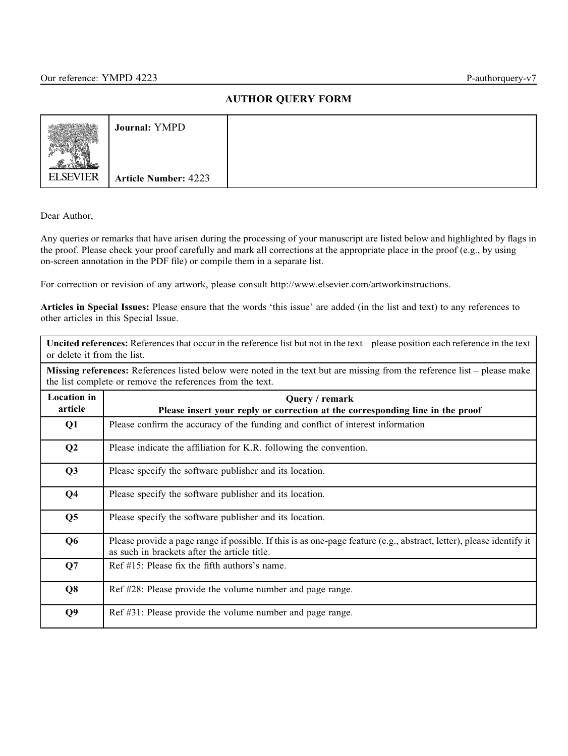# AUTHOR QUERY FORM

|                 | Journal: YMPD               |  |
|-----------------|-----------------------------|--|
| <b>ELSEVIER</b> | <b>Article Number: 4223</b> |  |

Dear Author,

Any queries or remarks that have arisen during the processing of your manuscript are listed below and highlighted by flags in the proof. Please check your proof carefully and mark all corrections at the appropriate place in the proof (e.g., by using on-screen annotation in the PDF file) or compile them in a separate list.

For correction or revision of any artwork, please consult http://www.elsevier.com/artworkinstructions.

Articles in Special Issues: Please ensure that the words 'this issue' are added (in the list and text) to any references to other articles in this Special Issue.

| Uncited references: References that occur in the reference list but not in the text – please position each reference in the text |
|----------------------------------------------------------------------------------------------------------------------------------|
| or delete it from the list.                                                                                                      |

Missing references: References listed below were noted in the text but are missing from the reference list – please make the list complete or remove the references from the text.

| <b>Location</b> in<br>article | Query / remark<br>Please insert your reply or correction at the corresponding line in the proof                                                                      |
|-------------------------------|----------------------------------------------------------------------------------------------------------------------------------------------------------------------|
| Q <sub>1</sub>                | Please confirm the accuracy of the funding and conflict of interest information                                                                                      |
| Q <sub>2</sub>                | Please indicate the affiliation for K.R. following the convention.                                                                                                   |
| Q3                            | Please specify the software publisher and its location.                                                                                                              |
| Q <sub>4</sub>                | Please specify the software publisher and its location.                                                                                                              |
| Q <sub>5</sub>                | Please specify the software publisher and its location.                                                                                                              |
| Q <sub>6</sub>                | Please provide a page range if possible. If this is as one-page feature (e.g., abstract, letter), please identify it<br>as such in brackets after the article title. |
| Q7                            | Ref $#15$ : Please fix the fifth authors's name.                                                                                                                     |
| Q <sub>8</sub>                | Ref #28: Please provide the volume number and page range.                                                                                                            |
| Q <sub>9</sub>                | Ref #31: Please provide the volume number and page range.                                                                                                            |